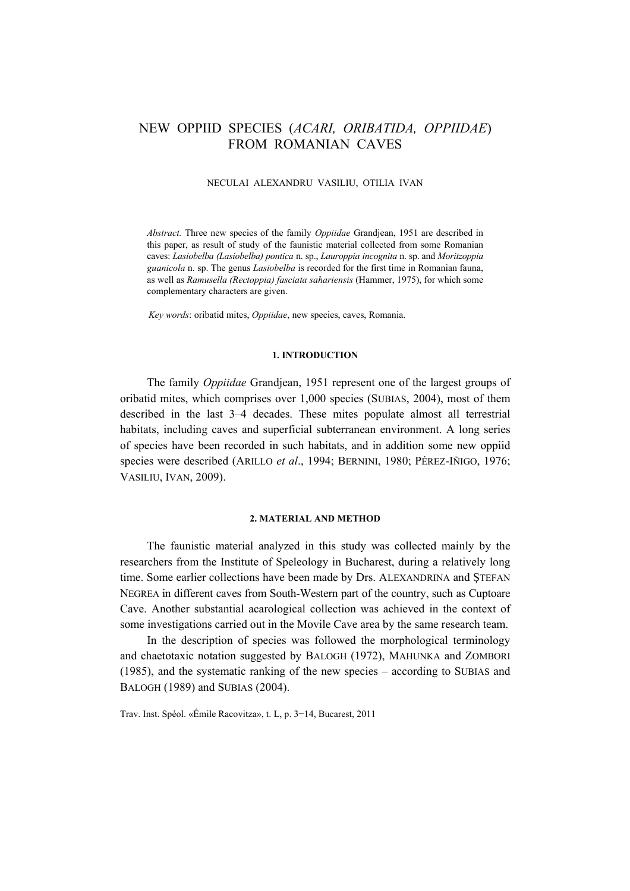# NEW OPPIID SPECIES (*ACARI, ORIBATIDA, OPPIIDAE*) FROM ROMANIAN CAVES

#### NECULAI ALEXANDRU VASILIU, OTILIA IVAN

*Abstract.* Three new species of the family *Oppiidae* Grandjean, 1951 are described in this paper, as result of study of the faunistic material collected from some Romanian caves: *Lasiobelba (Lasiobelba) pontica* n. sp., *Lauroppia incognita* n. sp. and *Moritzoppia guanicola* n. sp. The genus *Lasiobelba* is recorded for the first time in Romanian fauna, as well as *Ramusella (Rectoppia) fasciata sahariensis* (Hammer, 1975), for which some complementary characters are given.

*Key words*: oribatid mites, *Oppiidae*, new species, caves, Romania.

### **1. INTRODUCTION**

The family *Oppiidae* Grandjean, 1951 represent one of the largest groups of oribatid mites, which comprises over 1,000 species (SUBIAS, 2004), most of them described in the last 3–4 decades. These mites populate almost all terrestrial habitats, including caves and superficial subterranean environment. A long series of species have been recorded in such habitats, and in addition some new oppiid species were described (ARILLO *et al.*, 1994; BERNINI, 1980; PÉREZ-IÑIGO, 1976; VASILIU, IVAN, 2009).

## **2. MATERIAL AND METHOD**

The faunistic material analyzed in this study was collected mainly by the researchers from the Institute of Speleology in Bucharest, during a relatively long time. Some earlier collections have been made by Drs. ALEXANDRINA and ŞTEFAN NEGREA in different caves from South-Western part of the country, such as Cuptoare Cave. Another substantial acarological collection was achieved in the context of some investigations carried out in the Movile Cave area by the same research team.

In the description of species was followed the morphological terminology and chaetotaxic notation suggested by BALOGH (1972), MAHUNKA and ZOMBORI (1985), and the systematic ranking of the new species – according to SUBIAS and BALOGH (1989) and SUBIAS (2004).

Trav. Inst. Spéol. «Émile Racovitza», t. L, p. 3−14, Bucarest, 2011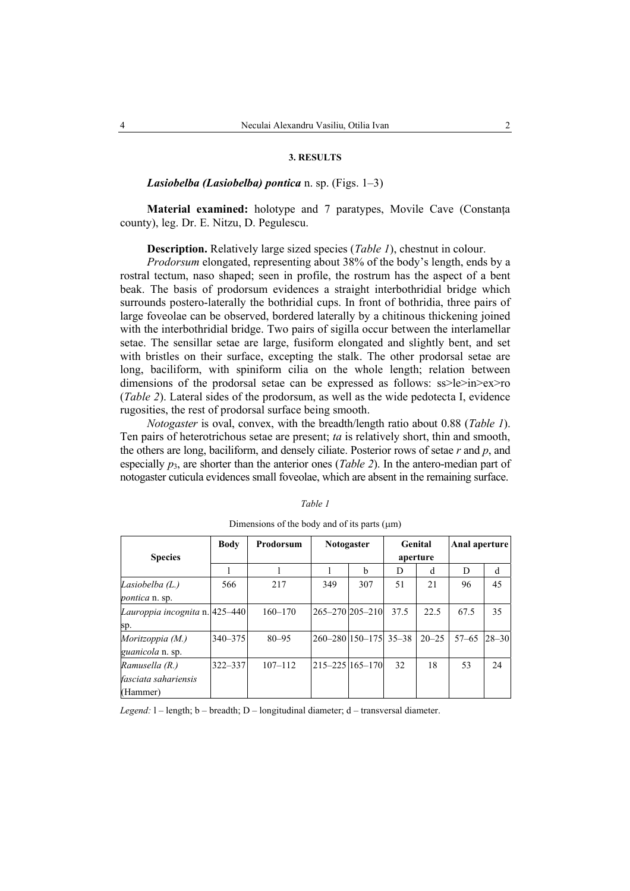#### **3. RESULTS**

## *Lasiobelba (Lasiobelba) pontica* n. sp. (Figs. 1–3)

**Material examined:** holotype and 7 paratypes, Movile Cave (Constanta) county), leg. Dr. E. Nitzu, D. Pegulescu.

**Description.** Relatively large sized species (*Table 1*), chestnut in colour.

*Prodorsum* elongated, representing about 38% of the body's length, ends by a rostral tectum, naso shaped; seen in profile, the rostrum has the aspect of a bent beak. The basis of prodorsum evidences a straight interbothridial bridge which surrounds postero-laterally the bothridial cups. In front of bothridia, three pairs of large foveolae can be observed, bordered laterally by a chitinous thickening joined with the interbothridial bridge. Two pairs of sigilla occur between the interlamellar setae. The sensillar setae are large, fusiform elongated and slightly bent, and set with bristles on their surface, excepting the stalk. The other prodorsal setae are long, baciliform, with spiniform cilia on the whole length; relation between dimensions of the prodorsal setae can be expressed as follows:  $ss > le > in > ex > ro$ (*Table 2*). Lateral sides of the prodorsum, as well as the wide pedotecta I, evidence rugosities, the rest of prodorsal surface being smooth.

*Notogaster* is oval, convex, with the breadth/length ratio about 0.88 (*Table 1*). Ten pairs of heterotrichous setae are present; *ta* is relatively short, thin and smooth, the others are long, baciliform, and densely ciliate. Posterior rows of setae *r* and *p*, and especially  $p_3$ , are shorter than the anterior ones (*Table 2*). In the antero-median part of notogaster cuticula evidences small foveolae, which are absent in the remaining surface.

| anı<br>, |  |
|----------|--|
|          |  |

|                                                    | <b>Body</b> | Prodorsum   | <b>Notogaster</b>       |     | Genital  |           | Anal aperture |           |
|----------------------------------------------------|-------------|-------------|-------------------------|-----|----------|-----------|---------------|-----------|
| <b>Species</b>                                     |             |             |                         |     | aperture |           |               |           |
|                                                    |             |             |                         | h   | D        | d         | D             | d         |
| Lasiobelba (L.)<br><i>pontica</i> n. sp.           | 566         | 217         | 349                     | 307 | 51       | 21        | 96            | 45        |
| Lauroppia incognita n. 425–440<br>sp.              |             | $160 - 170$ | $265 - 270$ $205 - 210$ |     | 37.5     | 22.5      | 67.5          | 35        |
| Moritzoppia (M.)<br>guanicola n. sp.               | $340 - 375$ | $80 - 95$   | 260-280 150-175 35-38   |     |          | $20 - 25$ | $57 - 65$     | $28 - 30$ |
| Ramusella (R.)<br>fasciata sahariensis<br>(Hammer) | $322 - 337$ | $107 - 112$ | $215 - 2251165 - 170$   |     | 32       | 18        | 53            | 24        |

Dimensions of the body and of its parts  $(\mu m)$ 

*Legend:* l – length; b – breadth; D – longitudinal diameter; d – transversal diameter.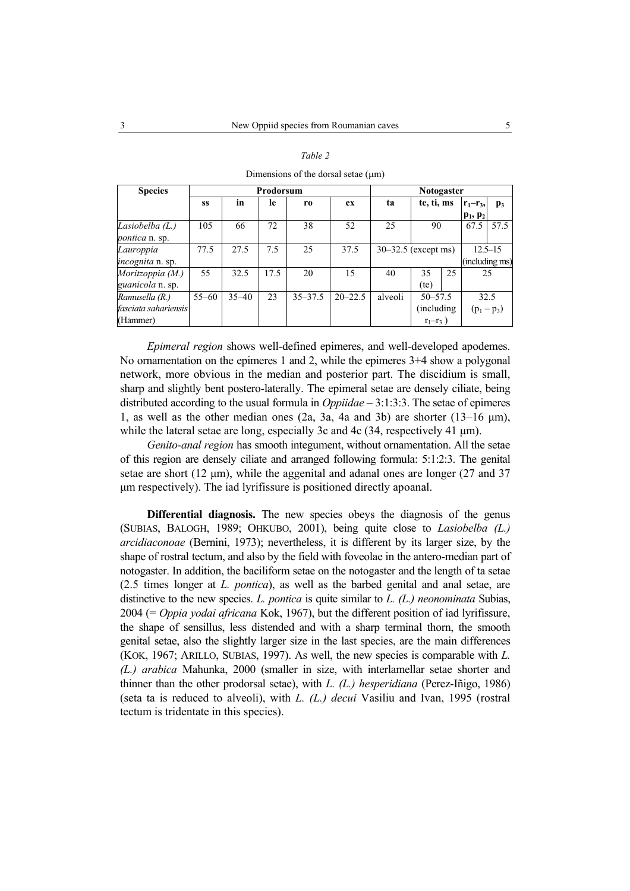| <b>Species</b>          | Prodorsum |           |      |             | <b>Notogaster</b> |                       |             |    |               |                |
|-------------------------|-----------|-----------|------|-------------|-------------------|-----------------------|-------------|----|---------------|----------------|
|                         | SS        | in        | -le  | r0          | ex                | ta                    | te, ti, ms  |    | $r_1-r_3$ ,   | p <sub>3</sub> |
|                         |           |           |      |             |                   |                       |             |    | $p_1, p_2$    |                |
| Lasiobelba (L.)         | 105       | 66        | 72   | 38          | 52                | 25                    | 90          |    | 67.5          | 57.5           |
| <i>pontica</i> n. sp.   |           |           |      |             |                   |                       |             |    |               |                |
| Lauroppia               | 77.5      | 27.5      | 7.5  | 25          | 37.5              | $30-32.5$ (except ms) |             |    |               | $12.5 - 15$    |
| <i>incognita</i> n. sp. |           |           |      |             |                   |                       |             |    |               | (including ms) |
| Moritzoppia (M.)        | 55        | 32.5      | 17.5 | 20          | 15                | 40                    | 35          | 25 | 25            |                |
| guanicola n. sp.        |           |           |      |             |                   |                       | (te)        |    |               |                |
| Ramusella (R.)          | $55 - 60$ | $35 - 40$ | 23   | $35 - 37.5$ | $20 - 22.5$       | alveoli               | $50 - 57.5$ |    | 32.5          |                |
| fasciata sahariensis    |           |           |      |             |                   |                       | (including) |    | $(p_1 - p_3)$ |                |
| (Hammer)                |           |           |      |             |                   |                       | $r_1-r_3$ ) |    |               |                |

|--|--|

Dimensions of the dorsal setae  $(\mu m)$ 

*Epimeral region* shows well-defined epimeres, and well-developed apodemes. No ornamentation on the epimeres 1 and 2, while the epimeres 3+4 show a polygonal network, more obvious in the median and posterior part. The discidium is small, sharp and slightly bent postero-laterally. The epimeral setae are densely ciliate, being distributed according to the usual formula in *Oppiidae* – 3:1:3:3. The setae of epimeres 1, as well as the other median ones (2a, 3a, 4a and 3b) are shorter (13–16 µm), while the lateral setae are long, especially 3c and 4c (34, respectively 41  $\mu$ m).

*Genito-anal region* has smooth integument, without ornamentation. All the setae of this region are densely ciliate and arranged following formula: 5:1:2:3. The genital setae are short (12 µm), while the aggenital and adanal ones are longer (27 and 37 µm respectively). The iad lyrifissure is positioned directly apoanal.

**Differential diagnosis.** The new species obeys the diagnosis of the genus (SUBIAS, BALOGH, 1989; OHKUBO, 2001), being quite close to *Lasiobelba (L.) arcidiaconoae* (Bernini, 1973); nevertheless, it is different by its larger size, by the shape of rostral tectum, and also by the field with foveolae in the antero-median part of notogaster. In addition, the baciliform setae on the notogaster and the length of ta setae (2.5 times longer at *L. pontica*), as well as the barbed genital and anal setae, are distinctive to the new species. *L. pontica* is quite similar to *L. (L.) neonominata* Subias, 2004 (= *Oppia yodai africana* Kok, 1967), but the different position of iad lyrifissure, the shape of sensillus, less distended and with a sharp terminal thorn, the smooth genital setae, also the slightly larger size in the last species, are the main differences (KOK, 1967; ARILLO, SUBIAS, 1997). As well, the new species is comparable with *L. (L.) arabica* Mahunka, 2000 (smaller in size, with interlamellar setae shorter and thinner than the other prodorsal setae), with *L. (L.) hesperidiana* (Perez-Iñigo, 1986) (seta ta is reduced to alveoli), with *L. (L.) decui* Vasiliu and Ivan, 1995 (rostral tectum is tridentate in this species).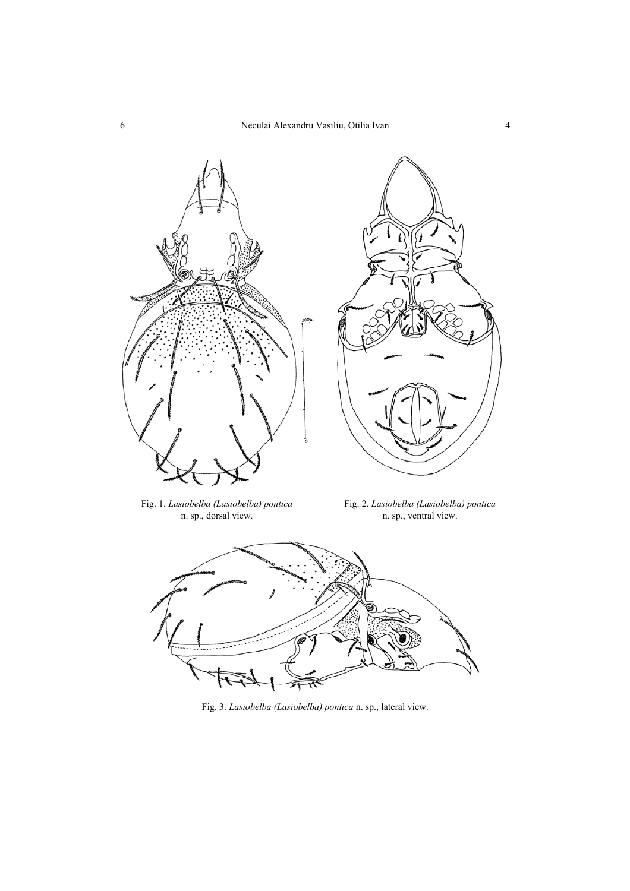



Fig. 1. *Lasiobelba (Lasiobelba) pontica*  n. sp., dorsal view.

Fig. 2. *Lasiobelba (Lasiobelba) pontica*  n. sp., ventral view.



Fig. 3. *Lasiobelba (Lasiobelba) pontica* n. sp., lateral view.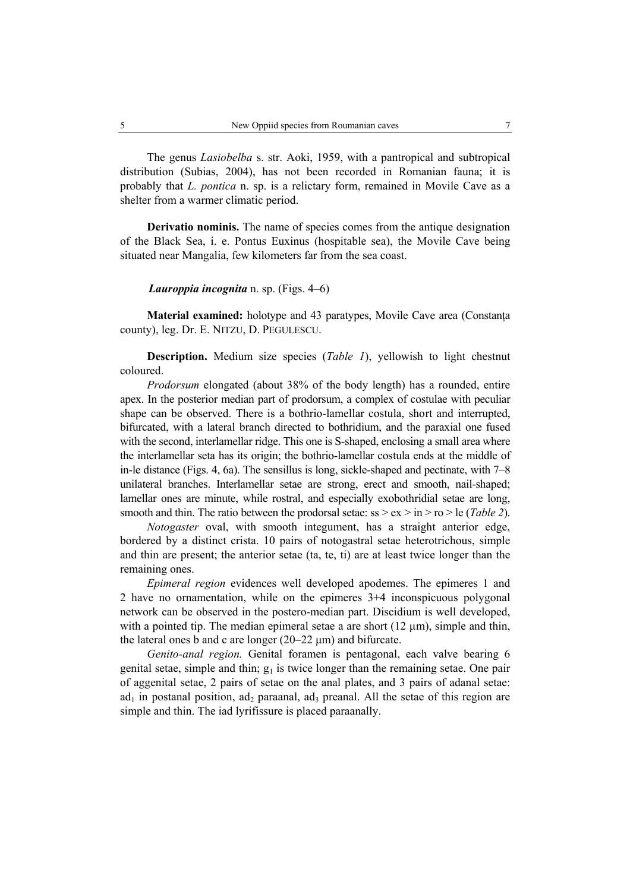The genus *Lasiobelba* s. str. Aoki, 1959, with a pantropical and subtropical distribution (Subias, 2004), has not been recorded in Romanian fauna; it is probably that *L. pontica* n. sp. is a relictary form, remained in Movile Cave as a shelter from a warmer climatic period.

**Derivatio nominis.** The name of species comes from the antique designation of the Black Sea, i. e. Pontus Euxinus (hospitable sea), the Movile Cave being situated near Mangalia, few kilometers far from the sea coast.

*Lauroppia incognita* n. sp. (Figs. 4–6)

**Material examined:** holotype and 43 paratypes, Movile Cave area (Constanta) county), leg. Dr. E. NITZU, D. PEGULESCU.

**Description.** Medium size species (*Table 1*), yellowish to light chestnut coloured.

*Prodorsum* elongated (about 38% of the body length) has a rounded, entire apex. In the posterior median part of prodorsum, a complex of costulae with peculiar shape can be observed. There is a bothrio-lamellar costula, short and interrupted, bifurcated, with a lateral branch directed to bothridium, and the paraxial one fused with the second, interlamellar ridge. This one is S-shaped, enclosing a small area where the interlamellar seta has its origin; the bothrio-lamellar costula ends at the middle of in-le distance (Figs. 4, 6a). The sensillus is long, sickle-shaped and pectinate, with 7–8 unilateral branches. Interlamellar setae are strong, erect and smooth, nail-shaped; lamellar ones are minute, while rostral, and especially exobothridial setae are long, smooth and thin. The ratio between the prodorsal setae: ss > ex > in > ro > le (*Table 2*).

*Notogaster* oval, with smooth integument, has a straight anterior edge, bordered by a distinct crista. 10 pairs of notogastral setae heterotrichous, simple and thin are present; the anterior setae (ta, te, ti) are at least twice longer than the remaining ones.

*Epimeral region* evidences well developed apodemes. The epimeres 1 and 2 have no ornamentation, while on the epimeres 3+4 inconspicuous polygonal network can be observed in the postero-median part. Discidium is well developed, with a pointed tip. The median epimeral setae a are short  $(12 \mu m)$ , simple and thin, the lateral ones b and c are longer  $(20-22 \mu m)$  and bifurcate.

*Genito-anal region.* Genital foramen is pentagonal, each valve bearing 6 genital setae, simple and thin;  $g_1$  is twice longer than the remaining setae. One pair of aggenital setae, 2 pairs of setae on the anal plates, and 3 pairs of adanal setae:  $ad_1$  in postanal position,  $ad_2$  paraanal,  $ad_3$  preanal. All the setae of this region are simple and thin. The iad lyrifissure is placed paraanally.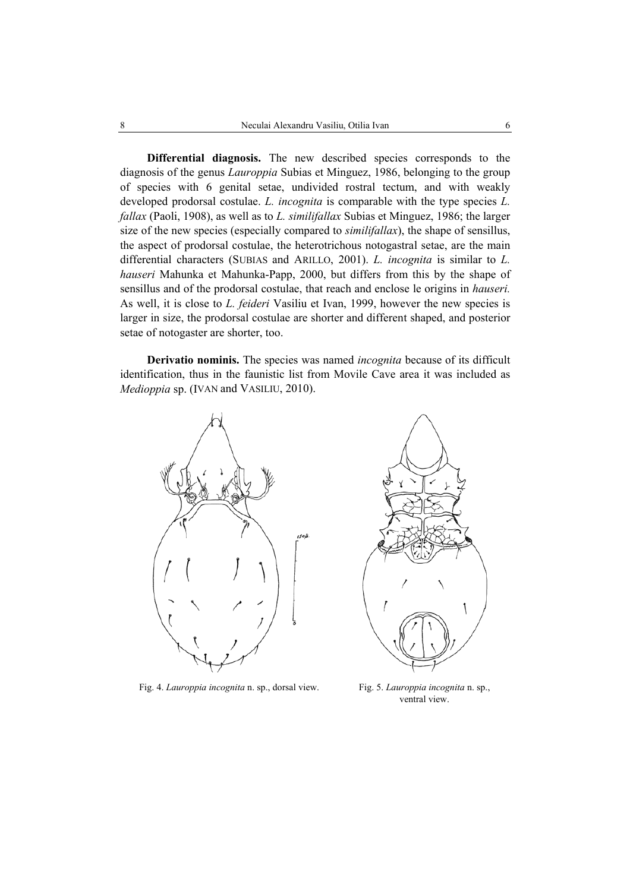**Differential diagnosis.** The new described species corresponds to the diagnosis of the genus *Lauroppia* Subias et Minguez, 1986, belonging to the group of species with 6 genital setae, undivided rostral tectum, and with weakly developed prodorsal costulae. *L. incognita* is comparable with the type species *L. fallax* (Paoli, 1908), as well as to *L. similifallax* Subias et Minguez, 1986; the larger size of the new species (especially compared to *similifallax*), the shape of sensillus, the aspect of prodorsal costulae, the heterotrichous notogastral setae, are the main differential characters (SUBIAS and ARILLO, 2001). *L. incognita* is similar to *L. hauseri* Mahunka et Mahunka-Papp, 2000, but differs from this by the shape of sensillus and of the prodorsal costulae, that reach and enclose le origins in *hauseri.* As well, it is close to *L. feideri* Vasiliu et Ivan, 1999, however the new species is larger in size, the prodorsal costulae are shorter and different shaped, and posterior setae of notogaster are shorter, too.

**Derivatio nominis.** The species was named *incognita* because of its difficult identification, thus in the faunistic list from Movile Cave area it was included as *Medioppia* sp. (IVAN and VASILIU, 2010).



Fig. 4. *Lauroppia incognita* n. sp., dorsal view. Fig. 5. *Lauroppia incognita* n. sp.,



ventral view.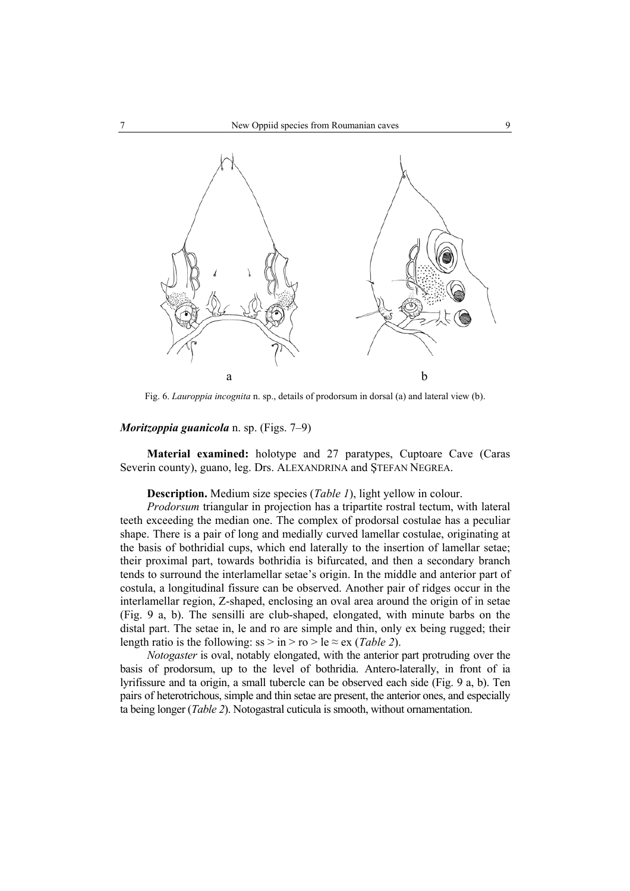

Fig. 6. *Lauroppia incognita* n. sp., details of prodorsum in dorsal (a) and lateral view (b).

## *Moritzoppia guanicola* n. sp. (Figs. 7–9)

**Material examined:** holotype and 27 paratypes, Cuptoare Cave (Caras Severin county), guano, leg. Drs. ALEXANDRINA and ŞTEFAN NEGREA.

**Description.** Medium size species (*Table 1*), light yellow in colour.

*Prodorsum* triangular in projection has a tripartite rostral tectum, with lateral teeth exceeding the median one. The complex of prodorsal costulae has a peculiar shape. There is a pair of long and medially curved lamellar costulae, originating at the basis of bothridial cups, which end laterally to the insertion of lamellar setae; their proximal part, towards bothridia is bifurcated, and then a secondary branch tends to surround the interlamellar setae's origin. In the middle and anterior part of costula, a longitudinal fissure can be observed. Another pair of ridges occur in the interlamellar region, Z-shaped, enclosing an oval area around the origin of in setae (Fig. 9 a, b). The sensilli are club-shaped, elongated, with minute barbs on the distal part. The setae in, le and ro are simple and thin, only ex being rugged; their length ratio is the following:  $ss > in > ro > le \approx ex$  (*Table 2*).

*Notogaster* is oval, notably elongated, with the anterior part protruding over the basis of prodorsum, up to the level of bothridia. Antero-laterally, in front of ia lyrifissure and ta origin, a small tubercle can be observed each side (Fig. 9 a, b). Ten pairs of heterotrichous, simple and thin setae are present, the anterior ones, and especially ta being longer (*Table 2*). Notogastral cuticula is smooth, without ornamentation.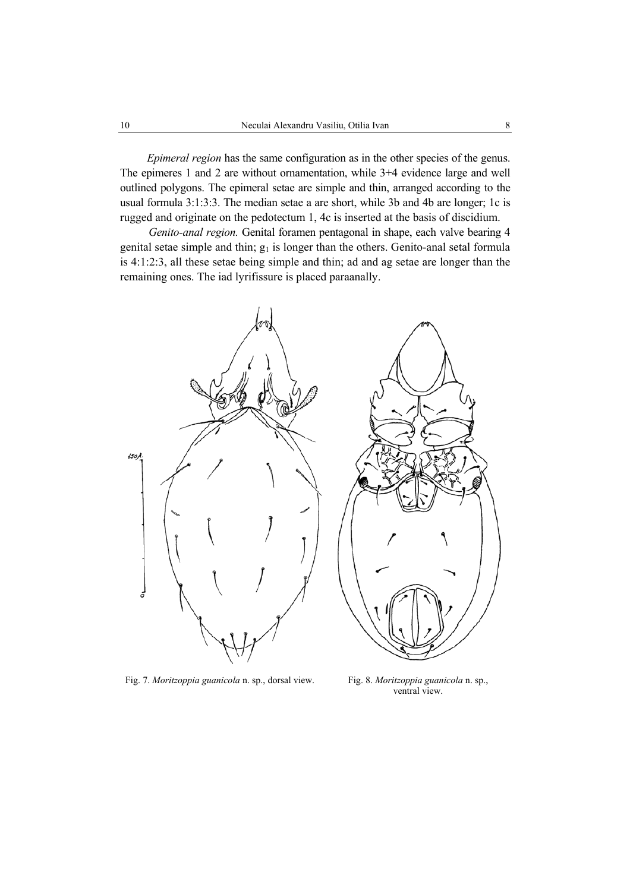*Epimeral region* has the same configuration as in the other species of the genus. The epimeres 1 and 2 are without ornamentation, while 3+4 evidence large and well outlined polygons. The epimeral setae are simple and thin, arranged according to the usual formula 3:1:3:3. The median setae a are short, while 3b and 4b are longer; 1c is rugged and originate on the pedotectum 1, 4c is inserted at the basis of discidium.

*Genito-anal region.* Genital foramen pentagonal in shape, each valve bearing 4 genital setae simple and thin;  $g_1$  is longer than the others. Genito-anal setal formula is 4:1:2:3, all these setae being simple and thin; ad and ag setae are longer than the remaining ones. The iad lyrifissure is placed paraanally.



Fig. 7. *Moritzoppia guanicola* n. sp., dorsal view. Fig. 8. *Moritzoppia guanicola* n. sp.,

ventral view.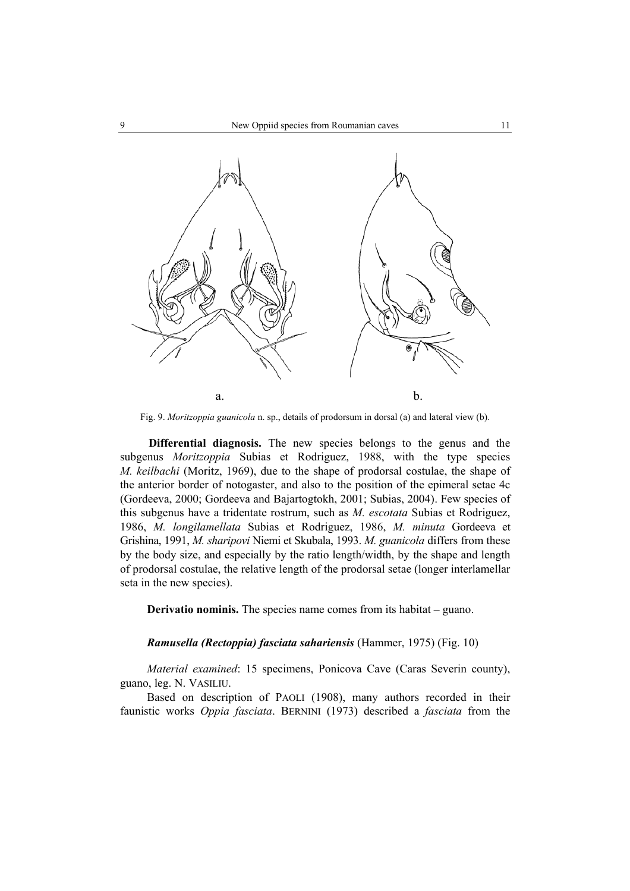

Fig. 9. *Moritzoppia guanicola* n. sp., details of prodorsum in dorsal (a) and lateral view (b).

**Differential diagnosis.** The new species belongs to the genus and the subgenus *Moritzoppia* Subias et Rodriguez, 1988, with the type species *M. keilbachi* (Moritz, 1969), due to the shape of prodorsal costulae, the shape of the anterior border of notogaster, and also to the position of the epimeral setae 4c (Gordeeva, 2000; Gordeeva and Bajartogtokh, 2001; Subias, 2004). Few species of this subgenus have a tridentate rostrum, such as *M. escotata* Subias et Rodriguez, 1986, *M. longilamellata* Subias et Rodriguez, 1986, *M. minuta* Gordeeva et Grishina, 1991, *M. sharipovi* Niemi et Skubala, 1993. *M. guanicola* differs from these by the body size, and especially by the ratio length/width, by the shape and length of prodorsal costulae, the relative length of the prodorsal setae (longer interlamellar seta in the new species).

**Derivatio nominis.** The species name comes from its habitat – guano.

*Ramusella (Rectoppia) fasciata sahariensis* (Hammer, 1975) (Fig. 10)

*Material examined*: 15 specimens, Ponicova Cave (Caras Severin county), guano, leg. N. VASILIU.

Based on description of PAOLI (1908), many authors recorded in their faunistic works *Oppia fasciata*. BERNINI (1973) described a *fasciata* from the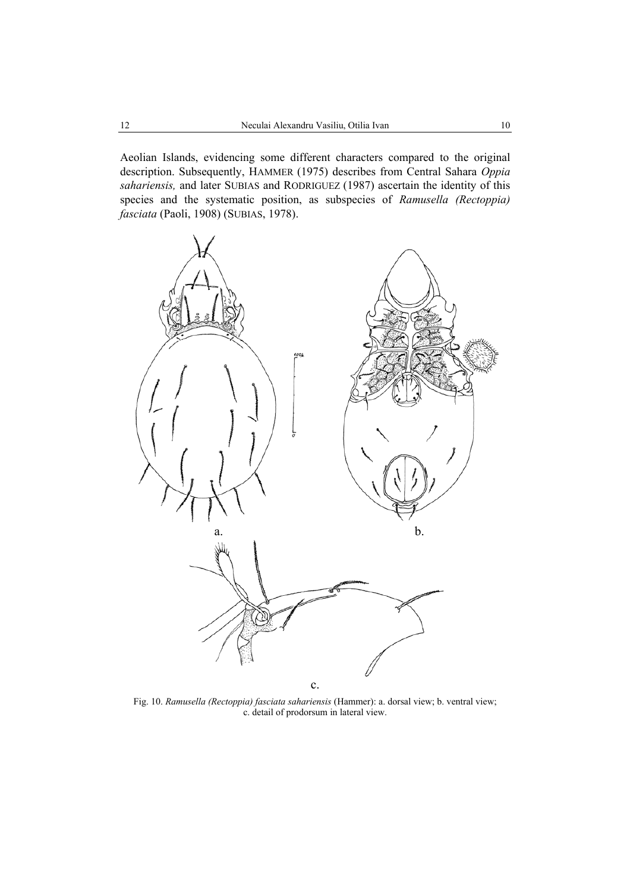Aeolian Islands, evidencing some different characters compared to the original description. Subsequently, HAMMER (1975) describes from Central Sahara *Oppia sahariensis,* and later SUBIAS and RODRIGUEZ (1987) ascertain the identity of this species and the systematic position, as subspecies of *Ramusella (Rectoppia) fasciata* (Paoli, 1908) (SUBIAS, 1978).



Fig. 10. *Ramusella (Rectoppia) fasciata sahariensis* (Hammer): a. dorsal view; b. ventral view; c. detail of prodorsum in lateral view.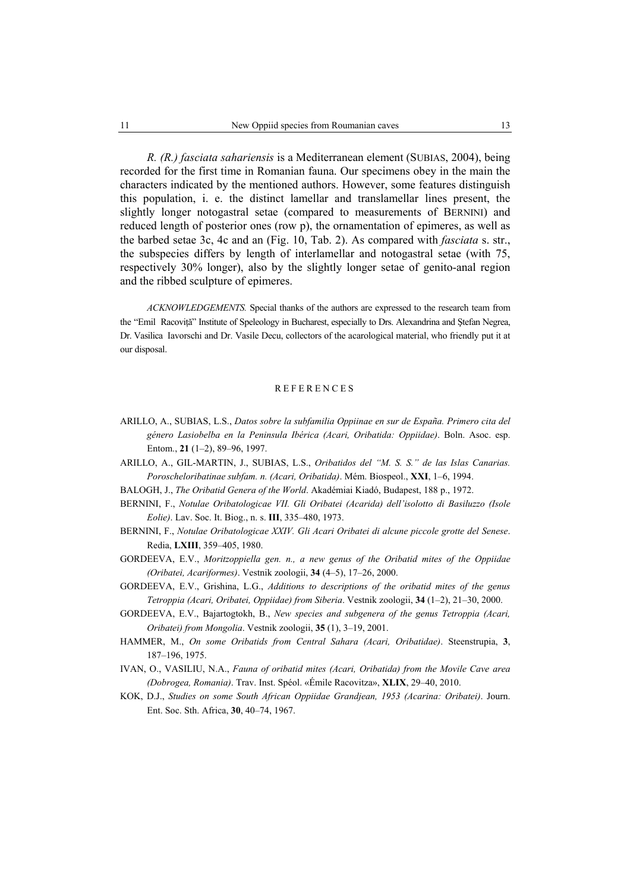*R. (R.) fasciata sahariensis* is a Mediterranean element (SUBIAS, 2004), being recorded for the first time in Romanian fauna. Our specimens obey in the main the characters indicated by the mentioned authors. However, some features distinguish this population, i. e. the distinct lamellar and translamellar lines present, the slightly longer notogastral setae (compared to measurements of BERNINI) and reduced length of posterior ones (row p), the ornamentation of epimeres, as well as the barbed setae 3c, 4c and an (Fig. 10, Tab. 2). As compared with *fasciata* s. str., the subspecies differs by length of interlamellar and notogastral setae (with 75, respectively 30% longer), also by the slightly longer setae of genito-anal region and the ribbed sculpture of epimeres.

*ACKNOWLEDGEMENTS.* Special thanks of the authors are expressed to the research team from the "Emil Racoviță" Institute of Speleology in Bucharest, especially to Drs. Alexandrina and Ștefan Negrea, Dr. Vasilica Iavorschi and Dr. Vasile Decu, collectors of the acarological material, who friendly put it at our disposal.

#### REFERENCES

- ARILLO, A., SUBIAS, L.S., *Datos sobre la subfamilia Oppiinae en sur de España. Primero cita del género Lasiobelba en la Peninsula Ibérica (Acari, Oribatida: Oppiidae)*. Boln. Asoc. esp. Entom., **21** (1–2), 89–96, 1997.
- ARILLO, A., GIL-MARTIN, J., SUBIAS, L.S., *Oribatidos del "M. S. S." de las Islas Canarias. Poroscheloribatinae subfam. n. (Acari, Oribatida)*. Mém. Biospeol., **XXI**, 1–6, 1994.
- BALOGH, J., *The Oribatid Genera of the World*. Akadémiai Kiadó, Budapest, 188 p., 1972.
- BERNINI, F., *Notulae Oribatologicae VII. Gli Oribatei (Acarida) dell'isolotto di Basiluzzo (Isole Eolie)*. Lav. Soc. It. Biog., n. s. **III**, 335–480, 1973.
- BERNINI, F., *Notulae Oribatologicae XXIV. Gli Acari Oribatei di alcune piccole grotte del Senese*. Redia, **LXIII**, 359–405, 1980.
- GORDEEVA, E.V., *Moritzoppiella gen. n., a new genus of the Oribatid mites of the Oppiidae (Oribatei, Acariformes)*. Vestnik zoologii, **34** (4–5), 17–26, 2000.
- GORDEEVA, E.V., Grishina, L.G., *Additions to descriptions of the oribatid mites of the genus Tetroppia (Acari, Oribatei, Oppiidae) from Siberia*. Vestnik zoologii, **34** (1–2), 21–30, 2000.
- GORDEEVA, E.V., Bajartogtokh, B., *New species and subgenera of the genus Tetroppia (Acari, Oribatei) from Mongolia*. Vestnik zoologii, **35** (1), 3–19, 2001.
- HAMMER, M., *On some Oribatids from Central Sahara (Acari, Oribatidae)*. Steenstrupia, **3**, 187–196, 1975.
- IVAN, O., VASILIU, N.A., *Fauna of oribatid mites (Acari, Oribatida) from the Movile Cave area (Dobrogea, Romania)*. Trav. Inst. Spéol. «Émile Racovitza», **XLIX**, 29–40, 2010.
- KOK, D.J., *Studies on some South African Oppiidae Grandjean, 1953 (Acarina: Oribatei)*. Journ. Ent. Soc. Sth. Africa, **30**, 40–74, 1967.